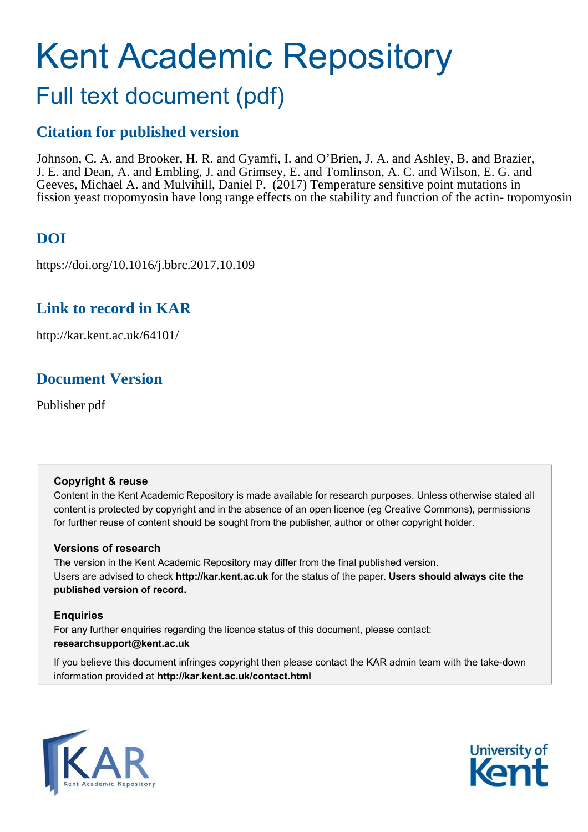# <span id="page-0-0"></span>Kent Academic Repository

# Full text document (pdf)

# **Citation for published version**

Johnson, C. A. and Brooker, H. R. and Gyamfi, I. and O'Brien, J. A. and Ashley, B. and Brazier, J. E. and Dean, A. and Embling, J. and Grimsey, E. and Tomlinson, A. C. and Wilson, E. G. and Geeves, Michael A. and Mulvihill, Daniel P. (2017) Temperature sensitive point mutations in fission yeast tropomyosin have long range effects on the stability and function of the actin- tropomyosin

# **DOI**

https://doi.org/10.1016/j.bbrc.2017.10.109

# **Link to record in KAR**

http://kar.kent.ac.uk/64101/

# **Document Version**

Publisher pdf

## **Copyright & reuse**

Content in the Kent Academic Repository is made available for research purposes. Unless otherwise stated all content is protected by copyright and in the absence of an open licence (eg Creative Commons), permissions for further reuse of content should be sought from the publisher, author or other copyright holder.

## **Versions of research**

The version in the Kent Academic Repository may differ from the final published version. Users are advised to check **http://kar.kent.ac.uk** for the status of the paper. **Users should always cite the published version of record.**

## **Enquiries**

For any further enquiries regarding the licence status of this document, please contact: **researchsupport@kent.ac.uk**

If you believe this document infringes copyright then please contact the KAR admin team with the take-down information provided at **http://kar.kent.ac.uk/contact.html**



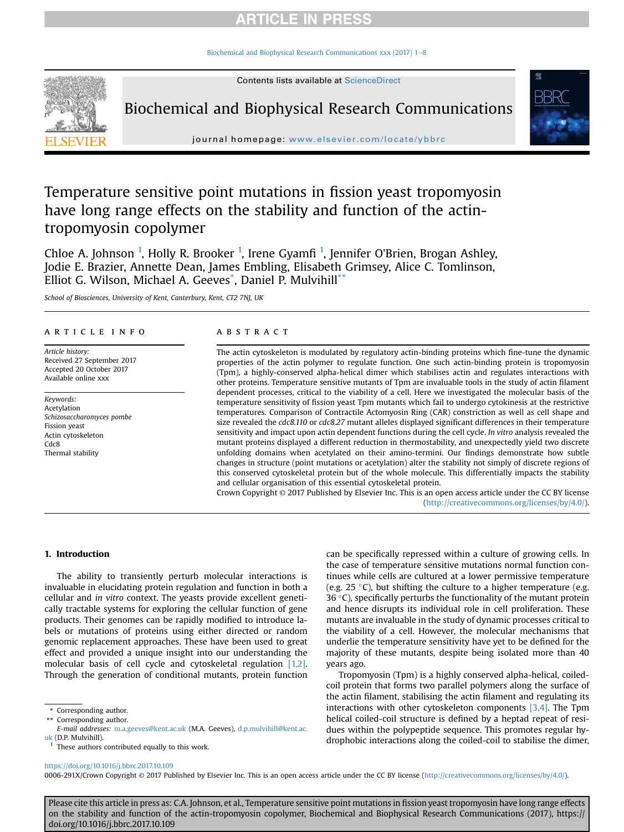# **ARTICLE IN PRESS**

[Biochemical and Biophysical Research Communications xxx \(2017\) 1](https://doi.org/10.1016/j.bbrc.2017.10.109)-[8](https://doi.org/10.1016/j.bbrc.2017.10.109)

Contents lists available at [ScienceDirect](www.sciencedirect.com/science/journal/0006291X)



Biochemical and Biophysical Research Communications



journal homepage: <www.elsevier.com/locate/ybbrc>

# Temperature sensitive point mutations in fission yeast tropomyosin have long range effects on the stability and function of the actintropomyosin copolymer

Chloe A. Johnson <sup>[1](#page-0-0)</sup>, Holly R. Brooker <sup>1</sup>, Irene Gyamfi <sup>1</sup>, Jennifer O'Brien, Brogan Ashley, Jodie E. Brazier, Annette Dean, James Embling, Elisabeth Grimsey, Alice C. Tomlinson, Elliot G. Wilson, Michael A. Geeves[\\*](#page-0-0) , Daniel P. Mulvihill[\\*\\*](#page-0-0)

*School of Biosciences, University of Kent, Canterbury, Kent, CT2 7NJ, UK*

#### article info

*Article history:* Received 27 September 2017 Accepted 20 October 2017 Available online xxx

*Keywords:* Acetylation *Schizosaccharomyces pombe* Fission yeast Actin cytoskeleton Cdc8 Thermal stability

#### ABSTRACT

The actin cytoskeleton is modulated by regulatory actin-binding proteins which fine-tune the dynamic properties of the actin polymer to regulate function. One such actin-binding protein is tropomyosin (Tpm), a highly-conserved alpha-helical dimer which stabilises actin and regulates interactions with other proteins. Temperature sensitive mutants of Tpm are invaluable tools in the study of actin filament dependent processes, critical to the viability of a cell. Here we investigated the molecular basis of the temperature sensitivity of fission yeast Tpm mutants which fail to undergo cytokinesis at the restrictive temperatures. Comparison of Contractile Actomyosin Ring (CAR) constriction as well as cell shape and size revealed the *cdc8.110* or *cdc8.27* mutant alleles displayed significant differences in their temperature sensitivity and impact upon actin dependent functions during the cell cycle. *In vitro* analysis revealed the mutant proteins displayed a different reduction in thermostability, and unexpectedly yield two discrete unfolding domains when acetylated on their amino-termini. Our findings demonstrate how subtle changes in structure (point mutations or acetylation) alter the stability not simply of discrete regions of this conserved cytoskeletal protein but of the whole molecule. This differentially impacts the stability and cellular organisation of this essential cytoskeletal protein.

Crown Copyright © 2017 Published by Elsevier Inc. This is an open access article under the CC BY license [\(http://creativecommons.org/licenses/by/4.0/](http://creativecommons.org/licenses/by/4.0/)).

#### 1. Introduction

The ability to transiently perturb molecular interactions is invaluable in elucidating protein regulation and function in both a cellular and *in vitro* context. The yeasts provide excellent genetically tractable systems for exploring the cellular function of gene products. Their genomes can be rapidly modified to introduce labels or mutations of proteins using either directed or random genomic replacement approaches. These have been used to great effect and provided a unique insight into our understanding the molecular basis of cell cycle and cytoskeletal regulation [\[1,2\].](#page-6-0) Through the generation of conditional mutants, protein function can be specifically repressed within a culture of growing cells. In the case of temperature sensitive mutations normal function continues while cells are cultured at a lower permissive temperature (e.g. 25  $\degree$ C), but shifting the culture to a higher temperature (e.g. 36 $\degree$ C), specifically perturbs the functionality of the mutant protein and hence disrupts its individual role in cell proliferation. These mutants are invaluable in the study of dynamic processes critical to the viability of a cell. However, the molecular mechanisms that underlie the temperature sensitivity have yet to be defined for the majority of these mutants, despite being isolated more than 40 years ago.

Tropomyosin (Tpm) is a highly conserved alpha-helical, coiledcoil protein that forms two parallel polymers along the surface of the actin filament, stabilising the actin filament and regulating its interactions with other cytoskeleton components [\[3,4\].](#page-6-0) The Tpm helical coiled-coil structure is defined by a heptad repeat of residues within the polypeptide sequence. This promotes regular hydrophobic interactions along the coiled-coil to stabilise the dimer,

#### <https://doi.org/10.1016/j.bbrc.2017.10.109>

0006-291X/Crown Copyright © 2017 Published by Elsevier Inc. This is an open access article under the CC BY license [\(http://creativecommons.org/licenses/by/4.0/](http://creativecommons.org/licenses/by/4.0/)).

<sup>\*</sup> Corresponding author.

Corresponding author.

*E-mail addresses:* [m.a.geeves@kent.ac.uk](mailto:m.a.geeves@kent.ac.uk) (M.A. Geeves), [d.p.mulvihill@kent.ac.](mailto:d.p.mulvihill@kent.ac.uk) [uk](mailto:d.p.mulvihill@kent.ac.uk) (D.P. Mulvihill).

<sup>1</sup> These authors contributed equally to this work.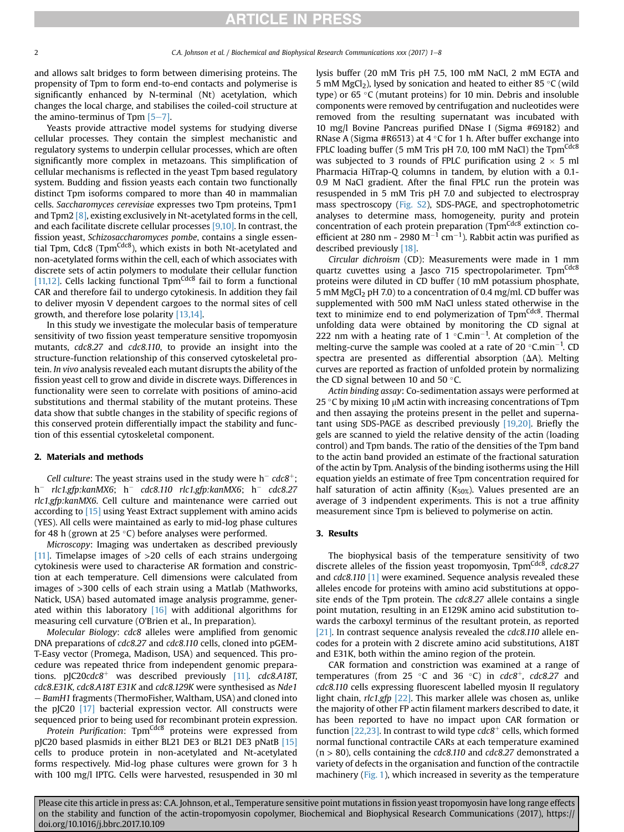## **ARTICLE IN PRESS**

<span id="page-2-0"></span>and allows salt bridges to form between dimerising proteins. The propensity of Tpm to form end-to-end contacts and polymerise is significantly enhanced by N-terminal (Nt) acetylation, which changes the local charge, and stabilises the coiled-coil structure at the amino-terminus of Tpm  $[5-7]$  $[5-7]$  $[5-7]$ .

Yeasts provide attractive model systems for studying diverse cellular processes. They contain the simplest mechanistic and regulatory systems to underpin cellular processes, which are often significantly more complex in metazoans. This simplification of cellular mechanisms is reflected in the yeast Tpm based regulatory system. Budding and fission yeasts each contain two functionally distinct Tpm isoforms compared to more than 40 in mammalian cells. *Saccharomyces cerevisiae* expresses two Tpm proteins, Tpm1 and Tpm2 [\[8\],](#page-6-0) existing exclusively in Nt-acetylated forms in the cell, and each facilitate discrete cellular processes [\[9,10\].](#page-6-0) In contrast, the fission yeast, *Schizosaccharomyces pombe*, contains a single essential Tpm, Cdc8 (Tpm<sup>Cdc8</sup>), which exists in both Nt-acetylated and non-acetylated forms within the cell, each of which associates with discrete sets of actin polymers to modulate their cellular function [\[11,12\]](#page-6-0). Cells lacking functional Tpm<sup>Cdc8</sup> fail to form a functional CAR and therefore fail to undergo cytokinesis. In addition they fail to deliver myosin V dependent cargoes to the normal sites of cell growth, and therefore lose polarity [\[13,14\]](#page-6-0).

In this study we investigate the molecular basis of temperature sensitivity of two fission yeast temperature sensitive tropomyosin mutants, *cdc8.27* and *cdc8.110*, to provide an insight into the structure-function relationship of this conserved cytoskeletal protein. *In vivo* analysis revealed each mutant disrupts the ability of the fission yeast cell to grow and divide in discrete ways. Differences in functionality were seen to correlate with positions of amino-acid substitutions and thermal stability of the mutant proteins. These data show that subtle changes in the stability of specific regions of this conserved protein differentially impact the stability and function of this essential cytoskeletal component.

#### 2. Materials and methods

Cell culture: The yeast strains used in the study were h<sup>-</sup> cdc8<sup>+</sup>; h *rlc1.gfp:kanMX6*; h *cdc8.110 rlc1.gfp:kanMX6*; h *cdc8.27 rlc1.gfp:kanMX6*. Cell culture and maintenance were carried out according to [\[15\]](#page-6-0) using Yeast Extract supplement with amino acids (YES). All cells were maintained as early to mid-log phase cultures for 48 h (grown at 25 $\degree$ C) before analyses were performed.

*Microscopy*: Imaging was undertaken as described previously [\[11\]](#page-6-0). Timelapse images of  $>20$  cells of each strains undergoing cytokinesis were used to characterise AR formation and constriction at each temperature. Cell dimensions were calculated from images of >300 cells of each strain using a Matlab (Mathworks, Natick, USA) based automated image analysis programme, generated within this laboratory  $[16]$  with additional algorithms for measuring cell curvature (O'Brien et al., In preparation).

*Molecular Biology*: *cdc8* alleles were amplified from genomic DNA preparations of *cdc8.27* and *cdc8.110* cells, cloned into pGEM-T-Easy vector (Promega, Madison, USA) and sequenced. This procedure was repeated thrice from independent genomic preparations. pJC20*cdc8*<sup>þ</sup> was described previously [\[11\]](#page-6-0)*. cdc8.A18T*, *cdc8.E31K, cdc8.A18T E31K* and *cdc8.129K* were synthesised as *Nde1* e *BamH1* fragments (ThermoFisher, Waltham, USA) and cloned into the pJC20 [\[17\]](#page-7-0) bacterial expression vector. All constructs were sequenced prior to being used for recombinant protein expression.

*Protein Purification*: Tpm<sup>Cdc8</sup> proteins were expressed from pJC20 based plasmids in either BL21 DE3 or BL21 DE3 pNatB [\[15\]](#page-6-0) cells to produce protein in non-acetylated and Nt-acetylated forms respectively. Mid-log phase cultures were grown for 3 h with 100 mg/l IPTG. Cells were harvested, resuspended in 30 ml lysis buffer (20 mM Tris pH 7.5, 100 mM NaCl, 2 mM EGTA and 5 mM MgCl<sub>2</sub>), lysed by sonication and heated to either 85 °C (wild type) or 65 $\degree$ C (mutant proteins) for 10 min. Debris and insoluble components were removed by centrifugation and nucleotides were removed from the resulting supernatant was incubated with 10 mg/l Bovine Pancreas purified DNase I (Sigma #69182) and RNase A (Sigma #R6513) at 4  $\degree$ C for 1 h. After buffer exchange into FPLC loading buffer (5 mM Tris pH 7.0, 100 mM NaCl) the TpmCdc8 was subjected to 3 rounds of FPLC purification using  $2 \times 5$  ml Pharmacia HiTrap-Q columns in tandem, by elution with a 0.1- 0.9 M NaCl gradient. After the final FPLC run the protein was resuspended in 5 mM Tris pH 7.0 and subjected to electrospray mass spectroscopy (Fig. S2), SDS-PAGE, and spectrophotometric analyses to determine mass, homogeneity, purity and protein concentration of each protein preparation (TpmCdc8 extinction coefficient at 280 nm - 2980 M<sup>-1</sup> cm<sup>-1</sup>). Rabbit actin was purified as described previously [\[18\]](#page-7-0).

*Circular dichroism* (CD): Measurements were made in 1 mm quartz cuvettes using a Jasco 715 spectropolarimeter. TpmCdc8 proteins were diluted in CD buffer (10 mM potassium phosphate, 5 mM MgCl<sub>2</sub> pH 7.0) to a concentration of 0.4 mg/ml. CD buffer was supplemented with 500 mM NaCl unless stated otherwise in the text to minimize end to end polymerization of Tpm<sup>Cdc8</sup>. Thermal unfolding data were obtained by monitoring the CD signal at 222 nm with a heating rate of  $1^{\circ}$ C.min<sup>-1</sup>. At completion of the melting-curve the sample was cooled at a rate of  $20^{\circ}$ C.min<sup>-1</sup>. CD spectra are presented as differential absorption  $( \Delta A)$ . Melting curves are reported as fraction of unfolded protein by normalizing the CD signal between 10 and 50 $\degree$ C.

*Actin binding assay*: Co-sedimentation assays were performed at 25 °C by mixing 10  $\mu$ M actin with increasing concentrations of Tpm and then assaying the proteins present in the pellet and supernatant using SDS-PAGE as described previously [\[19,20\].](#page-7-0) Briefly the gels are scanned to yield the relative density of the actin (loading control) and Tpm bands. The ratio of the densities of the Tpm band to the actin band provided an estimate of the fractional saturation of the actin by Tpm. Analysis of the binding isotherms using the Hill equation yields an estimate of free Tpm concentration required for half saturation of actin affinity ( $K_{50\%}$ ). Values presented are an average of 3 indpendent experiments. This is not a true affinity measurement since Tpm is believed to polymerise on actin.

#### 3. Results

The biophysical basis of the temperature sensitivity of two discrete alleles of the fission yeast tropomyosin, Tpm<sup>Cdc8</sup>, cdc8.27 and *cdc8.110* [\[1\]](#page-6-0) were examined. Sequence analysis revealed these alleles encode for proteins with amino acid substitutions at opposite ends of the Tpm protein. The *cdc8.27* allele contains a single point mutation, resulting in an E129K amino acid substitution towards the carboxyl terminus of the resultant protein, as reported [\[21\].](#page-7-0) In contrast sequence analysis revealed the *cdc8.110* allele encodes for a protein with 2 discrete amino acid substitutions, A18T and E31K, both within the amino region of the protein.

CAR formation and constriction was examined at a range of temperatures (from 25 °C and 36 °C) in *cdc8<sup>+</sup>*, *cdc8.27* and *cdc8.110* cells expressing fluorescent labelled myosin II regulatory light chain, *rlc1.gfp* [\[22\]](#page-7-0). This marker allele was chosen as, unlike the majority of other FP actin filament markers described to date, it has been reported to have no impact upon CAR formation or function  $[22,23]$ . In contrast to wild type  $cdc8$ <sup>+</sup> cells, which formed normal functional contractile CARs at each temperature examined (n > 80), cells containing the *cdc8.110* and *cdc8.27* demonstrated a variety of defects in the organisation and function of the contractile machinery (Fig. 1), which increased in severity as the temperature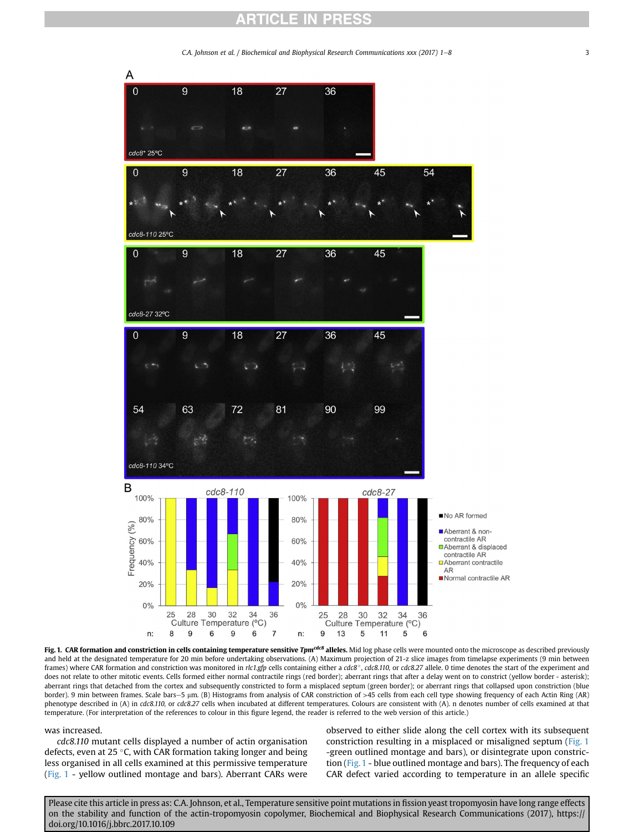## CI E IN DRES

*C.A. Johnson et al. / Biochemical and Biophysical Research Communications xxx (2017) 1–8* 3

<span id="page-3-0"></span>

Fig. 1. CAR formation and constriction in cells containing temperature sensitive Tpm<sup>cdc8</sup> alleles. Mid log phase cells were mounted onto the microscope as described previously and held at the designated temperature for 20 min before undertaking observations. (A) Maximum projection of 21-z slice images from timelapse experiments (9 min between frames) where CAR formation and constriction was monitored in *rlc1.gfp* cells containing either a *cdc8<sup>+</sup>*, *cdc8.110*, or *cdc8.27* allele. 0 time denotes the start of the experiment and does not relate to other mitotic events. Cells formed either normal contractile rings (red border); aberrant rings that after a delay went on to constrict (yellow border - asterisk); aberrant rings that detached from the cortex and subsequently constricted to form a misplaced septum (green border); or aberrant rings that collapsed upon constriction (blue border). 9 min between frames. Scale bars-5 µm. (B) Histograms from analysis of CAR constriction of >45 cells from each cell type showing frequency of each Actin Ring (AR) phenotype described in (A) in *cdc8.110*, or *cdc8.27* cells when incubated at different temperatures. Colours are consistent with (A). n denotes number of cells examined at that temperature. (For interpretation of the references to colour in this figure legend, the reader is referred to the web version of this article.)

#### was increased.

*cdc8.110* mutant cells displayed a number of actin organisation defects, even at 25 $\degree$ C, with CAR formation taking longer and being less organised in all cells examined at this permissive temperature ([Fig. 1](#page-2-0) - yellow outlined montage and bars). Aberrant CARs were observed to either slide along the cell cortex with its subsequent constriction resulting in a misplaced or misaligned septum ([Fig. 1](#page-2-0) -green outlined montage and bars), or disintegrate upon constriction [\(Fig. 1](#page-2-0) - blue outlined montage and bars). The frequency of each CAR defect varied according to temperature in an allele specific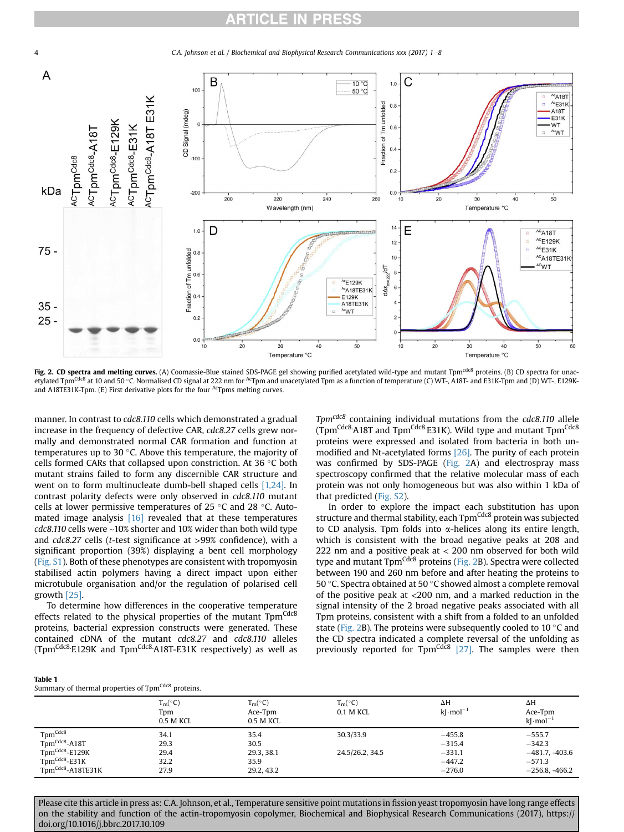# **RTICLE IN PRESS**

<span id="page-4-0"></span>4 *C.A. Johnson et al. / Biochemical and Biophysical Research Communications xxx (2017) 1*e*8*



Fig. 2. CD spectra and melting curves. (A) Coomassie-Blue stained SDS-PAGE gel showing purified acetylated wild-type and mutant Tpmcdc8 proteins. (B) CD spectra for unacetylated Tpm<sup>cdc8</sup> at 10 and 50 °C. Normalised CD signal at 222 nm for <sup>Ac</sup>Tpm and unacetylated Tpm as a function of temperature (C) WT-, A18T- and E31K-Tpm and (D) WT-, E129Kand A18TE31K-Tpm. (E) First derivative plots for the four <sup>Ac</sup>Tpms melting curves.

manner. In contrast to *cdc8.110* cells which demonstrated a gradual increase in the frequency of defective CAR, *cdc8.27* cells grew normally and demonstrated normal CAR formation and function at temperatures up to 30 $\degree$ C. Above this temperature, the majority of cells formed CARs that collapsed upon constriction. At 36 $\degree$ C both mutant strains failed to form any discernible CAR structure and went on to form multinucleate dumb-bell shaped cells [\[1,24\]](#page-6-0). In contrast polarity defects were only observed in *cdc8.110* mutant cells at lower permissive temperatures of 25  $\degree$ C and 28  $\degree$ C. Automated image analysis  $[16]$  revealed that at these temperatures *cdc8.110* cells were ~10% shorter and 10% wider than both wild type and *cdc8.27* cells (*t*-test significance at >99% confidence), with a significant proportion (39%) displaying a bent cell morphology (Fig. S1). Both of these phenotypes are consistent with tropomyosin stabilised actin polymers having a direct impact upon either microtubule organisation and/or the regulation of polarised cell growth [\[25\]](#page-7-0).

To determine how differences in the cooperative temperature effects related to the physical properties of the mutant TpmCdc8 proteins, bacterial expression constructs were generated. These contained cDNA of the mutant *cdc8.27* and *cdc8.110* alleles (Tpm<sup>Cdc8.</sup>E129K and Tpm<sup>Cdc8.</sup>A18T-E31K respectively) as well as

*Tpmcdc8* containing individual mutations from the *cdc8.110* allele (Tpm<sup>Cdc8.</sup>A18T and Tpm<sup>Cdc8.</sup>E31K). Wild type and mutant Tpm<sup>Cdc8</sup> proteins were expressed and isolated from bacteria in both unmodified and Nt-acetylated forms [\[26\].](#page-7-0) The purity of each protein was confirmed by SDS-PAGE [\(Fig. 2](#page-3-0)A) and electrospray mass spectroscopy confirmed that the relative molecular mass of each protein was not only homogeneous but was also within 1 kDa of that predicted (Fig. S2).

In order to explore the impact each substitution has upon structure and thermal stability, each Tpm<sup>Cdc8</sup> protein was subjected to CD analysis. Tpm folds into  $\alpha$ -helices along its entire length, which is consistent with the broad negative peaks at 208 and 222 nm and a positive peak at < 200 nm observed for both wild type and mutant Tpm<sup>Cdc8</sup> proteins [\(Fig. 2](#page-3-0)B). Spectra were collected between 190 and 260 nm before and after heating the proteins to 50 °C. Spectra obtained at 50 °C showed almost a complete removal of the positive peak at <200 nm, and a marked reduction in the signal intensity of the 2 broad negative peaks associated with all Tpm proteins, consistent with a shift from a folded to an unfolded state [\(Fig. 2](#page-3-0)B). The proteins were subsequently cooled to 10 $\degree$ C and the CD spectra indicated a complete reversal of the unfolding as previously reported for Tpm<sup>Cdc8</sup> [\[27\]](#page-7-0). The samples were then

#### Table 1

Summary of thermal properties of Tpm<sup>Cdc8</sup> proteins.

|                      | $T_m(°C)$<br>Tpm<br>0.5 M KCL | $T_m({}^{\circ}C)$<br>Ace-Tpm<br>0.5 M KCL | $T_m({}^{\circ}C)$<br>0.1 M KCL | ΔΗ<br>$k$ [·mol <sup>-1</sup> | ΔΗ<br>Ace-Tpm<br>$k$ [·mol <sup>-1</sup> |
|----------------------|-------------------------------|--------------------------------------------|---------------------------------|-------------------------------|------------------------------------------|
| Tpm <sup>Cdc8</sup>  | 34.1                          | 35.4                                       | 30.3/33.9                       | $-455.8$                      | $-555.7$                                 |
| $TpmCdc8 - A18T$     | 29.3                          | 30.5                                       |                                 | $-315.4$                      | $-342.3$                                 |
| $TpmCdc8 - E129K$    | 29.4                          | 29.3, 38.1                                 | 24.5/26.2, 34.5                 | $-331.1$                      | $-481.7, -403.6$                         |
| $TpmCdc8 - E31K$     | 32.2                          | 35.9                                       |                                 | $-447.2$                      | $-571.3$                                 |
| $TpmCdc8 - A18TE31K$ | 27.9                          | 29.2, 43.2                                 |                                 | $-276.0$                      | $-256.8. -466.2$                         |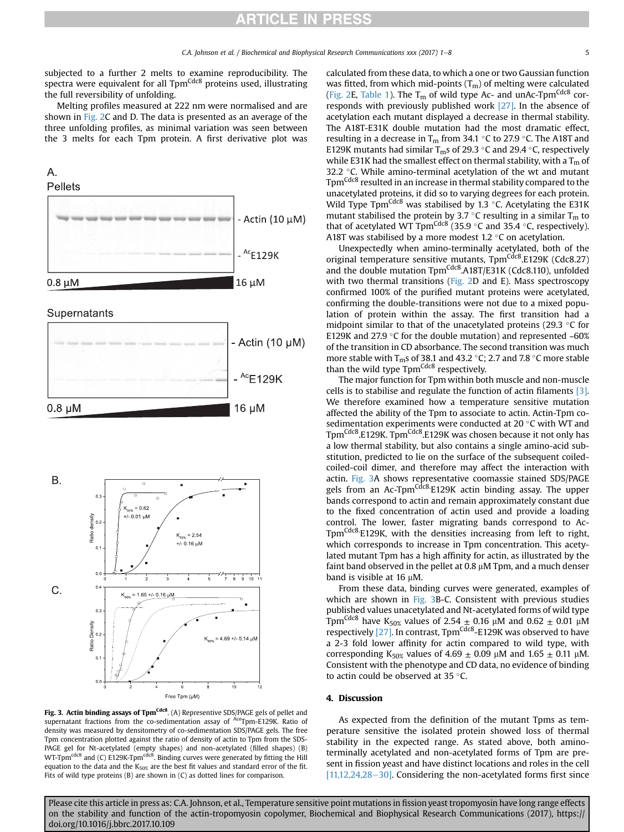<span id="page-5-0"></span>subjected to a further 2 melts to examine reproducibility. The spectra were equivalent for all Tpm<sup>Cdc8</sup> proteins used, illustrating the full reversibility of unfolding.

Melting profiles measured at 222 nm were normalised and are shown in [Fig. 2](#page-3-0)C and D. The data is presented as an average of the three unfolding profiles, as minimal variation was seen between the 3 melts for each Tpm protein. A first derivative plot was





Supernatants





Fig. 3. Actin binding assays of Tpm<sup>Cdc8</sup>. (A) Representive SDS/PAGE gels of pellet and supernatant fractions from the co-sedimentation assay of AceTpm-E129K. Ratio of density was measured by densitometry of co-sedimentation SDS/PAGE gels. The free Tpm concentration plotted against the ratio of density of actin to Tpm from the SDS-PAGE gel for Nt-acetylated (empty shapes) and non-acetylated (filled shapes) (B) WT-Tpm<sup>cdc8</sup> and (C) E129K-Tpm<sup>cdc8</sup>. Binding curves were generated by fitting the Hill equation to the data and the  $K_{50\%}$  are the best fit values and standard error of the fit. Fits of wild type proteins (B) are shown in (C) as dotted lines for comparison.

calculated from these data, to which a one or two Gaussian function was fitted, from which mid-points  $(T_m)$  of melting were calculated ([Fig. 2](#page-3-0)E, [Table 1](#page-3-0)). The  $T_m$  of wild type Ac- and unAc-Tpm<sup>Cdc8</sup> corresponds with previously published work [\[27\].](#page-7-0) In the absence of acetylation each mutant displayed a decrease in thermal stability. The A18T-E31K double mutation had the most dramatic effect, resulting in a decrease in  $T_m$  from 34.1 °C to 27.9 °C. The A18T and E129K mutants had similar  $T_{\rm m}$ s of 29.3 °C and 29.4 °C, respectively while E31K had the smallest effect on thermal stability, with a  $T_m$  of 32.2  $\degree$ C. While amino-terminal acetylation of the wt and mutant TpmCdc8 resulted in an increase in thermal stability compared to the unacetylated proteins, it did so to varying degrees for each protein. Wild Type Tpm<sup>Cdc8</sup> was stabilised by 1.3 °C. Acetylating the E31K mutant stabilised the protein by 3.7 °C resulting in a similar  $T_m$  to that of acetylated WT Tpm<sup>Cdc8</sup> (35.9 °C and 35.4 °C, respectively). A18T was stabilised by a more modest 1.2  $\degree$ C on acetylation.

Unexpectedly when amino-terminally acetylated, both of the original temperature sensitive mutants, Tpm<sup>Cdc8</sup>.E129K (Cdc8.27) and the double mutation  $Tpm<sup>Cdcs</sup> A18T/E31K$  (Cdc8.110), unfolded with two thermal transitions [\(Fig. 2](#page-3-0)D and E). Mass spectroscopy confirmed 100% of the purified mutant proteins were acetylated, confirming the double-transitions were not due to a mixed population of protein within the assay. The first transition had a midpoint similar to that of the unacetylated proteins (29.3  $\degree$ C for E129K and 27.9 °C for the double mutation) and represented ~60% of the transition in CD absorbance. The second transition was much more stable with  $T_m$ s of 38.1 and 43.2 °C; 2.7 and 7.8 °C more stable than the wild type  $Tpm^{Cdc8}$  respectively.

The major function for Tpm within both muscle and non-muscle cells is to stabilise and regulate the function of actin filaments [\[3\].](#page-6-0) We therefore examined how a temperature sensitive mutation affected the ability of the Tpm to associate to actin. Actin-Tpm cosedimentation experiments were conducted at 20 °C with WT and Tpm<sup>Cdc8</sup>.E129K. Tpm<sup>Cdc8</sup>.E129K was chosen because it not only has a low thermal stability, but also contains a single amino-acid substitution, predicted to lie on the surface of the subsequent coiledcoiled-coil dimer, and therefore may affect the interaction with actin. [Fig. 3A](#page-4-0) shows representative coomassie stained SDS/PAGE gels from an Ac-Tpm<sup>Cdc8</sup> E129K actin binding assay. The upper bands correspond to actin and remain approximately constant due to the fixed concentration of actin used and provide a loading control. The lower, faster migrating bands correspond to Ac-Tpm<sup>Cdc8</sup>E129K, with the densities increasing from left to right, which corresponds to increase in Tpm concentration. This acetylated mutant Tpm has a high affinity for actin, as illustrated by the faint band observed in the pellet at 0.8  $\mu$ M Tpm, and a much denser band is visible at 16  $\mu$ M.

From these data, binding curves were generated, examples of which are shown in [Fig. 3B](#page-4-0)-C. Consistent with previous studies published values unacetylated and Nt-acetylated forms of wild type Tpm<sup>Cdc8</sup> have K<sub>50%</sub> values of 2.54  $\pm$  0.16 µM and 0.62  $\pm$  0.01 µM respectively [\[27\].](#page-7-0) In contrast, Tpm<sup>Cdc8</sup>-E129K was observed to have a 2-3 fold lower affinity for actin compared to wild type, with corresponding K<sub>50%</sub> values of 4.69  $\pm$  0.09 µM and 1.65  $\pm$  0.11 µM. Consistent with the phenotype and CD data, no evidence of binding to actin could be observed at 35  $\degree$ C.

#### 4. Discussion

As expected from the definition of the mutant Tpms as temperature sensitive the isolated protein showed loss of thermal stability in the expected range. As stated above, both aminoterminally acetylated and non-acetylated forms of Tpm are present in fission yeast and have distinct locations and roles in the cell  $[11,12,24,28-30]$  $[11,12,24,28-30]$  $[11,12,24,28-30]$ . Considering the non-acetylated forms first since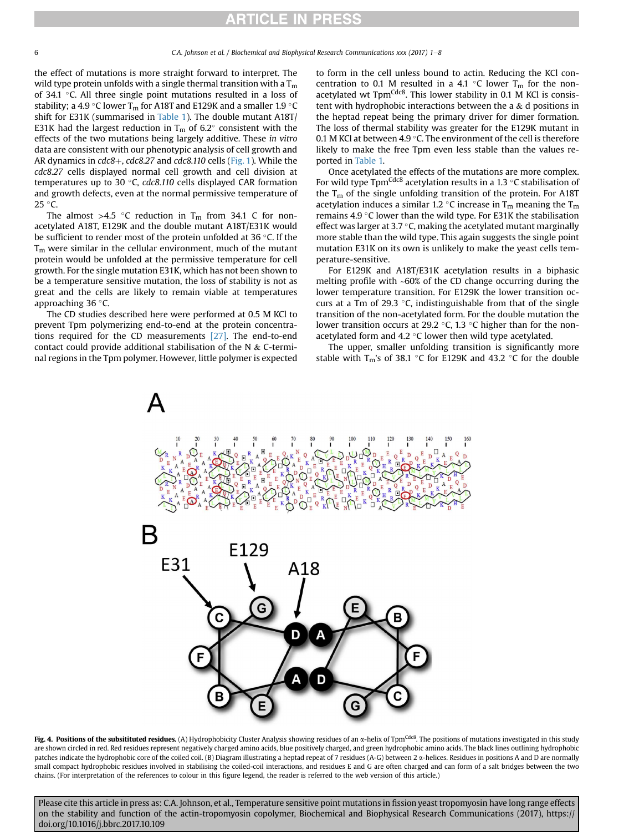# RTICLE IN PRESS

<span id="page-6-0"></span>the effect of mutations is more straight forward to interpret. The wild type protein unfolds with a single thermal transition with a  $T_m$ of 34.1  $\degree$ C. All three single point mutations resulted in a loss of stability; a 4.9 °C lower T<sub>m</sub> for A18T and E129K and a smaller 1.9 °C shift for E31K (summarised in [Table 1](#page-3-0)). The double mutant A18T/ E31K had the largest reduction in  $T_m$  of 6.2 $^{\circ}$  consistent with the effects of the two mutations being largely additive. These *in vitro* data are consistent with our phenotypic analysis of cell growth and AR dynamics in *cdc8+, cdc8.27* and *cdc8.110* cells [\(Fig. 1\)](#page-2-0). While the *cdc8.27* cells displayed normal cell growth and cell division at temperatures up to 30 °C, *cdc8.110* cells displayed CAR formation and growth defects, even at the normal permissive temperature of  $25 °C$ .

The almost >4.5 °C reduction in T<sub>m</sub> from 34.1 C for nonacetylated A18T, E129K and the double mutant A18T/E31K would be sufficient to render most of the protein unfolded at 36  $\degree$ C. If the  $T_m$  were similar in the cellular environment, much of the mutant protein would be unfolded at the permissive temperature for cell growth. For the single mutation E31K, which has not been shown to be a temperature sensitive mutation, the loss of stability is not as great and the cells are likely to remain viable at temperatures approaching  $36^{\circ}$ C.

The CD studies described here were performed at 0.5 M KCl to prevent Tpm polymerizing end-to-end at the protein concentrations required for the CD measurements [\[27\]](#page-7-0). The end-to-end contact could provide additional stabilisation of the N & C-terminal regions in the Tpm polymer. However, little polymer is expected to form in the cell unless bound to actin. Reducing the KCl concentration to 0.1 M resulted in a 4.1 °C lower  $T_m$  for the nonacetylated wt Tpm<sup>Cdc8</sup>. This lower stability in 0.1 M KCl is consistent with hydrophobic interactions between the a & d positions in the heptad repeat being the primary driver for dimer formation. The loss of thermal stability was greater for the E129K mutant in 0.1 M KCl at between 4.9  $\degree$ C. The environment of the cell is therefore likely to make the free Tpm even less stable than the values reported in [Table 1.](#page-3-0)

Once acetylated the effects of the mutations are more complex. For wild type Tpm<sup>Cdc8</sup> acetylation results in a 1.3 °C stabilisation of the  $T_m$  of the single unfolding transition of the protein. For A18T acetylation induces a similar 1.2 °C increase in  $T_m$  meaning the  $T_m$ remains 4.9  $\degree$ C lower than the wild type. For E31K the stabilisation effect was larger at 3.7 $\degree$ C, making the acetylated mutant marginally more stable than the wild type. This again suggests the single point mutation E31K on its own is unlikely to make the yeast cells temperature-sensitive.

For E129K and A18T/E31K acetylation results in a biphasic melting profile with ~60% of the CD change occurring during the lower temperature transition. For E129K the lower transition occurs at a Tm of 29.3  $\degree$ C, indistinguishable from that of the single transition of the non-acetylated form. For the double mutation the lower transition occurs at 29.2 °C, 1.3 °C higher than for the nonacetylated form and 4.2  $\degree$ C lower then wild type acetylated.

The upper, smaller unfolding transition is significantly more stable with  $T_m$ 's of 38.1 °C for E129K and 43.2 °C for the double



Fig. 4. Positions of the subsitituted residues. (A) Hydrophobicity Cluster Analysis showing residues of an a-helix of TpmCdc8. The positions of mutations investigated in this study are shown circled in red. Red residues represent negatively charged amino acids, blue positively charged, and green hydrophobic amino acids. The black lines outlining hydrophobic patches indicate the hydrophobic core of the coiled coil. (B) Diagram illustrating a heptad repeat of 7 residues (A-G) between 2  $\alpha$ -helices. Residues in positions A and D are normally small compact hydrophobic residues involved in stabilising the coiled-coil interactions, and residues E and G are often charged and can form of a salt bridges between the two chains. (For interpretation of the references to colour in this figure legend, the reader is referred to the web version of this article.)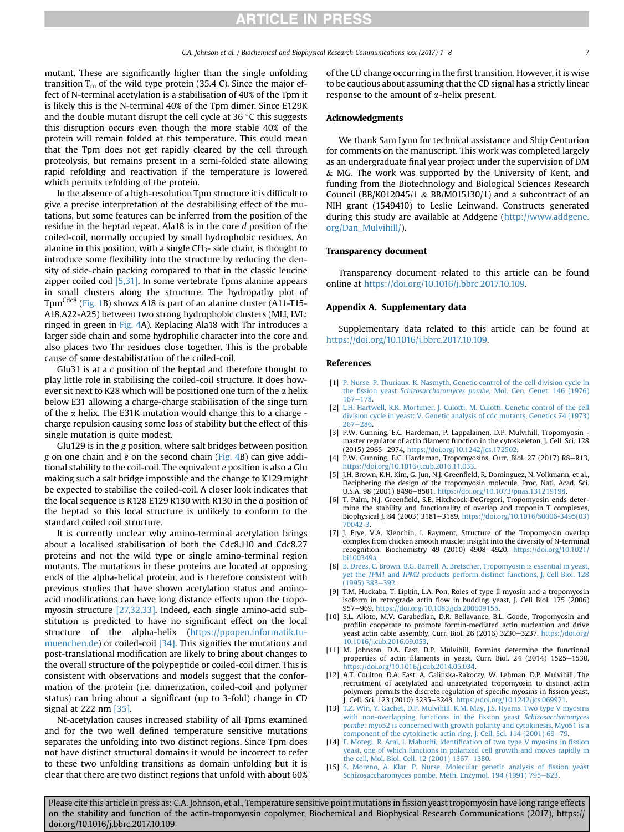<span id="page-7-0"></span>mutant. These are significantly higher than the single unfolding transition  $T_m$  of the wild type protein (35.4 C). Since the major effect of N-terminal acetylation is a stabilisation of 40% of the Tpm it is likely this is the N-terminal 40% of the Tpm dimer. Since E129K and the double mutant disrupt the cell cycle at 36 $\degree$ C this suggests this disruption occurs even though the more stable 40% of the protein will remain folded at this temperature. This could mean that the Tpm does not get rapidly cleared by the cell through proteolysis, but remains present in a semi-folded state allowing rapid refolding and reactivation if the temperature is lowered which permits refolding of the protein.

In the absence of a high-resolution Tpm structure it is difficult to give a precise interpretation of the destabilising effect of the mutations, but some features can be inferred from the position of the residue in the heptad repeat. Ala18 is in the core *d* position of the coiled-coil, normally occupied by small hydrophobic residues. An alanine in this position, with a single  $CH_3$ - side chain, is thought to introduce some flexibility into the structure by reducing the density of side-chain packing compared to that in the classic leucine zipper coiled coil [\[5,31\].](#page-6-0) In some vertebrate Tpms alanine appears in small clusters along the structure. The hydropathy plot of Tpm<sup>Cdc8</sup> ([Fig. 1](#page-2-0)B) shows A18 is part of an alanine cluster (A11-T15-A18.A22-A25) between two strong hydrophobic clusters (MLI, LVL: ringed in green in [Fig. 4A](#page-5-0)). Replacing Ala18 with Thr introduces a larger side chain and some hydrophilic character into the core and also places two Thr residues close together. This is the probable cause of some destabilistation of the coiled-coil.

Glu31 is at a *c* position of the heptad and therefore thought to play little role in stabilising the coiled-coil structure. It does however sit next to K28 which will be positioned one turn of the  $\alpha$  helix below E31 allowing a charge-charge stabilisation of the singe turn of the  $\alpha$  helix. The E31K mutation would change this to a charge charge repulsion causing some loss of stability but the effect of this single mutation is quite modest.

Glu129 is in the *g* position, where salt bridges between position *g* on one chain and *e* on the second chain [\(Fig. 4B](#page-5-0)) can give additional stability to the coil-coil. The equivalent *e* position is also a Glu making such a salt bridge impossible and the change to K129 might be expected to stabilise the coiled-coil. A closer look indicates that the local sequence is R128 E129 R130 with R130 in the *a* position of the heptad so this local structure is unlikely to conform to the standard coiled coil structure.

It is currently unclear why amino-terminal acetylation brings about a localised stabilisation of both the Cdc8.110 and Cdc8.27 proteins and not the wild type or single amino-terminal region mutants. The mutations in these proteins are located at opposing ends of the alpha-helical protein, and is therefore consistent with previous studies that have shown acetylation status and aminoacid modifications can have long distance effects upon the tropomyosin structure [27,32,33]. Indeed, each single amino-acid substitution is predicted to have no significant effect on the local structure of the alpha-helix ([https://ppopen.informatik.tu](https://ppopen.informatik.tu-muenchen.de)[muenchen.de\)](https://ppopen.informatik.tu-muenchen.de) or coiled-coil [34]. This signifies the mutations and post-translational modification are likely to bring about changes to the overall structure of the polypeptide or coiled-coil dimer. This is consistent with observations and models suggest that the conformation of the protein (i.e. dimerization, coiled-coil and polymer status) can bring about a significant (up to 3-fold) change in CD signal at 222 nm [35].

Nt-acetylation causes increased stability of all Tpms examined and for the two well defined temperature sensitive mutations separates the unfolding into two distinct regions. Since Tpm does not have distinct structural domains it would be incorrect to refer to these two unfolding transitions as domain unfolding but it is clear that there are two distinct regions that unfold with about 60% of the CD change occurring in the first transition. However, it is wise to be cautious about assuming that the CD signal has a strictly linear response to the amount of  $\alpha$ -helix present.

#### Acknowledgments

We thank Sam Lynn for technical assistance and Ship Centurion for comments on the manuscript. This work was completed largely as an undergraduate final year project under the supervision of DM  $& MG.$  The work was supported by the University of Kent, and funding from the Biotechnology and Biological Sciences Research Council (BB/K012045/1 & BB/M015130/1) and a subcontract of an NIH grant (1549410) to Leslie Leinwand. Constructs generated during this study are available at Addgene [\(http://www.addgene.](http://www.addgene.org/Dan_Mulvihill/) [org/Dan\\_Mulvihill/](http://www.addgene.org/Dan_Mulvihill/)).

#### Transparency document

Transparency document related to this article can be found online at <https://doi.org/10.1016/j.bbrc.2017.10.109>.

#### Appendix A. Supplementary data

Supplementary data related to this article can be found at <https://doi.org/10.1016/j.bbrc.2017.10.109>.

#### References

- [1] [P. Nurse, P. Thuriaux, K. Nasmyth, Genetic control of the cell division cycle in](http://refhub.elsevier.com/S0006-291X(17)32087-9/sref1) the fission yeast *Schizosaccharomyces pombe*[, Mol. Gen. Genet. 146 \(1976\)](http://refhub.elsevier.com/S0006-291X(17)32087-9/sref1)  $167 - 178$  $167 - 178$  $167 - 178$
- [2] [L.H. Hartwell, R.K. Mortimer, J. Culotti, M. Culotti, Genetic control of the cell](http://refhub.elsevier.com/S0006-291X(17)32087-9/sref2) [division cycle in yeast: V. Genetic analysis of cdc mutants, Genetics 74 \(1973\)](http://refhub.elsevier.com/S0006-291X(17)32087-9/sref2)  $267 - 286$  $267 - 286$  $267 - 286$
- [3] P.W. Gunning, E.C. Hardeman, P. Lappalainen, D.P. Mulvihill, Tropomyosin master regulator of actin filament function in the cytoskeleton, J. Cell. Sci. 128 (2015) 2965-2974, <https://doi.org/10.1242/jcs.172502>
- [4] P.W. Gunning, E.C. Hardeman, Tropomyosins, Curr. Biol. 27 (2017) R8-R13, [https://doi.org/10.1016/j.cub.2016.11.033.](https://doi.org/10.1016/j.cub.2016.11.033)
- [5] J.H. Brown, K.H. Kim, G. Jun, N.J. Greenfield, R. Dominguez, N. Volkmann, et al., Deciphering the design of the tropomyosin molecule, Proc. Natl. Acad. Sci. U.S.A. 98 (2001) 8496-8501, <https://doi.org/10.1073/pnas.131219198>.
- [6] T. Palm, N.J. Greenfield, S.E. Hitchcock-DeGregori, Tropomyosin ends determine the stability and functionality of overlap and troponin T complexes, Biophysical J. 84 (2003) 3181-3189, [https://doi.org/10.1016/S0006-3495\(03\)](https://doi.org/10.1016/S0006-3495(03)70042-3) [70042-3.](https://doi.org/10.1016/S0006-3495(03)70042-3)
- [7] J. Frye, V.A. Klenchin, I. Rayment, Structure of the Tropomyosin overlap complex from chicken smooth muscle: insight into the diversity of N-terminal recognition, Biochemistry 49 (2010) 4908-4920, [https://doi.org/10.1021/](https://doi.org/10.1021/bi100349a) [bi100349a](https://doi.org/10.1021/bi100349a).
- [8] [B. Drees, C. Brown, B.G. Barrell, A. Bretscher, Tropomyosin is essential in yeast,](http://refhub.elsevier.com/S0006-291X(17)32087-9/sref8) yet the *TPM1* and *TPM2* [products perform distinct functions, J. Cell Biol. 128](http://refhub.elsevier.com/S0006-291X(17)32087-9/sref8)  $(1995)$  383-[392](http://refhub.elsevier.com/S0006-291X(17)32087-9/sref8)
- [9] T.M. Huckaba, T. Lipkin, L.A. Pon, Roles of type II myosin and a tropomyosin isoform in retrograde actin flow in budding yeast, J. Cell Biol. 175 (2006) 957-969, https://doi.org/10.1083/jcb.200609155
- [10] S.L. Alioto, M.V. Garabedian, D.R. Bellavance, B.L. Goode, Tropomyosin and profilin cooperate to promote formin-mediated actin nucleation and drive yeast actin cable assembly, Curr. Biol. 26 (2016) 3230-3237, [https://doi.org/](https://doi.org/10.1016/j.cub.2016.09.053) [10.1016/j.cub.2016.09.053](https://doi.org/10.1016/j.cub.2016.09.053).
- [11] M. Johnson, D.A. East, D.P. Mulvihill, Formins determine the functional properties of actin filaments in yeast, Curr. Biol. 24 (2014) 1525-1530, <https://doi.org/10.1016/j.cub.2014.05.034>.
- [12] A.T. Coulton, D.A. East, A. Galinska-Rakoczy, W. Lehman, D.P. Mulvihill, The recruitment of acetylated and unacetylated tropomyosin to distinct actin polymers permits the discrete regulation of specific myosins in fission yeast, J. Cell. Sci. 123 (2010) 3235-3243, <https://doi.org/10.1242/jcs.069971>.
- [13] [T.Z. Win, Y. Gachet, D.P. Mulvihill, K.M. May, J.S. Hyams, Two type V myosins](http://refhub.elsevier.com/S0006-291X(17)32087-9/sref13) [with non-overlapping functions in the](http://refhub.elsevier.com/S0006-291X(17)32087-9/sref13) fission yeast *Schizosaccharomyces pombe*[: myo52 is concerned with growth polarity and cytokinesis, Myo51 is a](http://refhub.elsevier.com/S0006-291X(17)32087-9/sref13) [component of the cytokinetic actin ring, J. Cell. Sci. 114 \(2001\) 69](http://refhub.elsevier.com/S0006-291X(17)32087-9/sref13)-[79](http://refhub.elsevier.com/S0006-291X(17)32087-9/sref13).
- [14] [F. Motegi, R. Arai, I. Mabuchi, Identi](http://refhub.elsevier.com/S0006-291X(17)32087-9/sref14)fication of two type V myosins in fission [yeast, one of which functions in polarized cell growth and moves rapidly in](http://refhub.elsevier.com/S0006-291X(17)32087-9/sref14) [the cell, Mol. Biol. Cell. 12 \(2001\) 1367](http://refhub.elsevier.com/S0006-291X(17)32087-9/sref14)-[1380](http://refhub.elsevier.com/S0006-291X(17)32087-9/sref14).
- [15] [S. Moreno, A. Klar, P. Nurse, Molecular genetic analysis of](http://refhub.elsevier.com/S0006-291X(17)32087-9/sref15) fission yeast [Schizosaccharomyces pombe, Meth. Enzymol. 194 \(1991\) 795](http://refhub.elsevier.com/S0006-291X(17)32087-9/sref15)-[823.](http://refhub.elsevier.com/S0006-291X(17)32087-9/sref15)